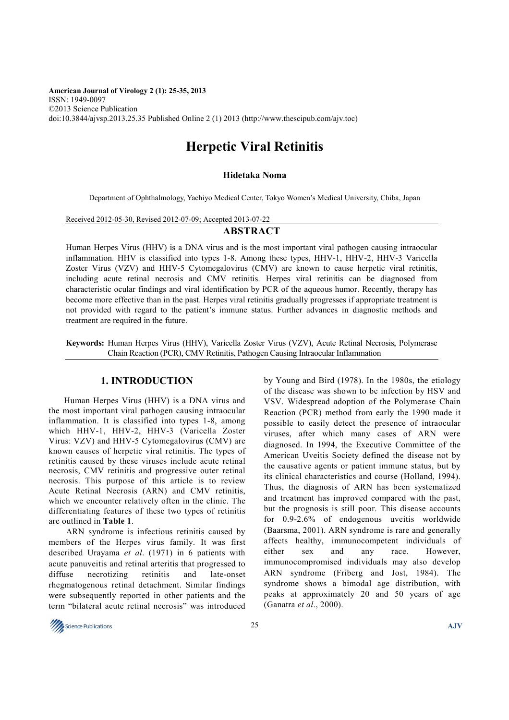**American Journal of Virology 2 (1): 25-35, 2013**  ISSN: 1949-0097 ©2013 Science Publication doi:10.3844/ajvsp.2013.25.35 Published Online 2 (1) 2013 (http://www.thescipub.com/ajv.toc)

# **Herpetic Viral Retinitis**

### **Hidetaka Noma**

Department of Ophthalmology, Yachiyo Medical Center, Tokyo Women's Medical University, Chiba, Japan

Received 2012-05-30, Revised 2012-07-09; Accepted 2013-07-22

# **ABSTRACT**

Human Herpes Virus (HHV) is a DNA virus and is the most important viral pathogen causing intraocular inflammation. HHV is classified into types 1-8. Among these types, HHV-1, HHV-2, HHV-3 Varicella Zoster Virus (VZV) and HHV-5 Cytomegalovirus (CMV) are known to cause herpetic viral retinitis, including acute retinal necrosis and CMV retinitis. Herpes viral retinitis can be diagnosed from characteristic ocular findings and viral identification by PCR of the aqueous humor. Recently, therapy has become more effective than in the past. Herpes viral retinitis gradually progresses if appropriate treatment is not provided with regard to the patient's immune status. Further advances in diagnostic methods and treatment are required in the future.

**Keywords:** Human Herpes Virus (HHV), Varicella Zoster Virus (VZV), Acute Retinal Necrosis, Polymerase Chain Reaction (PCR), CMV Retinitis, Pathogen Causing Intraocular Inflammation

# **1. INTRODUCTION**

 Human Herpes Virus (HHV) is a DNA virus and the most important viral pathogen causing intraocular inflammation. It is classified into types 1-8, among which HHV-1, HHV-2, HHV-3 (Varicella Zoster Virus: VZV) and HHV-5 Cytomegalovirus (CMV) are known causes of herpetic viral retinitis. The types of retinitis caused by these viruses include acute retinal necrosis, CMV retinitis and progressive outer retinal necrosis. This purpose of this article is to review Acute Retinal Necrosis (ARN) and CMV retinitis, which we encounter relatively often in the clinic. The differentiating features of these two types of retinitis are outlined in **Table 1**.

ARN syndrome is infectious retinitis caused by members of the Herpes virus family. It was first described Urayama *et al*. (1971) in 6 patients with acute panuveitis and retinal arteritis that progressed to diffuse necrotizing retinitis and late-onset rhegmatogenous retinal detachment. Similar findings were subsequently reported in other patients and the term "bilateral acute retinal necrosis" was introduced by Young and Bird (1978). In the 1980s, the etiology of the disease was shown to be infection by HSV and VSV. Widespread adoption of the Polymerase Chain Reaction (PCR) method from early the 1990 made it possible to easily detect the presence of intraocular viruses, after which many cases of ARN were diagnosed. In 1994, the Executive Committee of the American Uveitis Society defined the disease not by the causative agents or patient immune status, but by its clinical characteristics and course (Holland, 1994). Thus, the diagnosis of ARN has been systematized and treatment has improved compared with the past, but the prognosis is still poor. This disease accounts for 0.9-2.6% of endogenous uveitis worldwide (Baarsma, 2001). ARN syndrome is rare and generally affects healthy, immunocompetent individuals of either sex and any race. However, immunocompromised individuals may also develop ARN syndrome (Friberg and Jost, 1984). The syndrome shows a bimodal age distribution, with peaks at approximately 20 and 50 years of age (Ganatra *et al*., 2000).

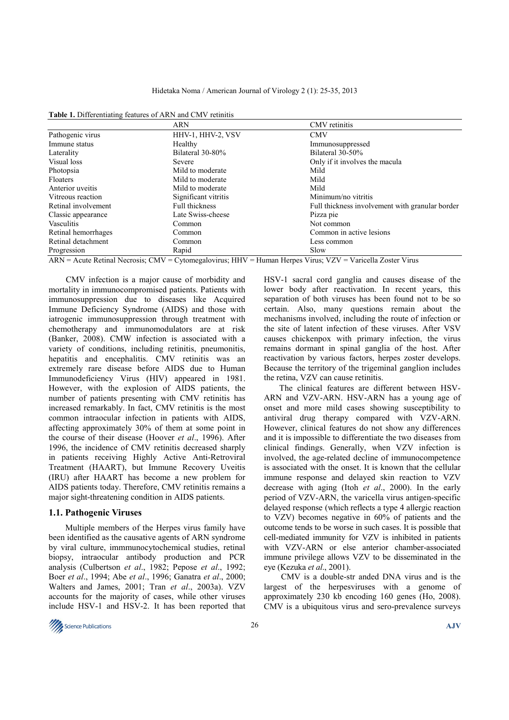| Table 1. Differentiating features of ARN and CMV retinitis |  |
|------------------------------------------------------------|--|
|------------------------------------------------------------|--|

|                     | <b>ARN</b>            | CMV retinitis                                   |  |
|---------------------|-----------------------|-------------------------------------------------|--|
| Pathogenic virus    | HHV-1, HHV-2, VSV     | <b>CMV</b>                                      |  |
| Immune status       | Healthy               | Immunosuppressed                                |  |
| Laterality          | Bilateral 30-80%      | Bilateral 30-50%                                |  |
| Visual loss         | Severe                | Only if it involves the macula                  |  |
| Photopsia           | Mild to moderate      | Mild                                            |  |
| Floaters            | Mild to moderate      | Mild                                            |  |
| Anterior uveitis    | Mild to moderate      | Mild                                            |  |
| Vitreous reaction   | Significant vitritis  | Minimum/no vitritis                             |  |
| Retinal involvement | <b>Full thickness</b> | Full thickness involvement with granular border |  |
| Classic appearance  | Late Swiss-cheese     | Pizza pie                                       |  |
| <b>Vasculitis</b>   | Common                | Not common                                      |  |
| Retinal hemorrhages | Common                | Common in active lesions                        |  |
| Retinal detachment  | Common                | Less common                                     |  |
| Progression         | Rapid                 | Slow                                            |  |

ARN = Acute Retinal Necrosis; CMV = Cytomegalovirus; HHV = Human Herpes Virus; VZV = Varicella Zoster Virus

CMV infection is a major cause of morbidity and mortality in immunocompromised patients. Patients with immunosuppression due to diseases like Acquired Immune Deficiency Syndrome (AIDS) and those with iatrogenic immunosuppression through treatment with chemotherapy and immunomodulators are at risk (Banker, 2008). CMW infection is associated with a variety of conditions, including retinitis, pneumonitis, hepatitis and encephalitis. CMV retinitis was an extremely rare disease before AIDS due to Human Immunodeficiency Virus (HIV) appeared in 1981. However, with the explosion of AIDS patients, the number of patients presenting with CMV retinitis has increased remarkably. In fact, CMV retinitis is the most common intraocular infection in patients with AIDS, affecting approximately 30% of them at some point in the course of their disease (Hoover *et al*., 1996). After 1996, the incidence of CMV retinitis decreased sharply in patients receiving Highly Active Anti-Retroviral Treatment (HAART), but Immune Recovery Uveitis (IRU) after HAART has become a new problem for AIDS patients today. Therefore, CMV retinitis remains a major sight-threatening condition in AIDS patients.

#### **1.1. Pathogenic Viruses**

Multiple members of the Herpes virus family have been identified as the causative agents of ARN syndrome by viral culture, immmunocytochemical studies, retinal biopsy, intraocular antibody production and PCR analysis (Culbertson *et al*., 1982; Pepose *et al*., 1992; Boer *et al*., 1994; Abe *et al*., 1996; Ganatra *et al*., 2000; Walters and James, 2001; Tran *et al*., 2003a). VZV accounts for the majority of cases, while other viruses include HSV-1 and HSV-2. It has been reported that HSV-1 sacral cord ganglia and causes disease of the lower body after reactivation. In recent years, this separation of both viruses has been found not to be so certain. Also, many questions remain about the mechanisms involved, including the route of infection or the site of latent infection of these viruses. After VSV causes chickenpox with primary infection, the virus remains dormant in spinal ganglia of the host. After reactivation by various factors, herpes zoster develops. Because the territory of the trigeminal ganglion includes the retina, VZV can cause retinitis.

 The clinical features are different between HSV-ARN and VZV-ARN. HSV-ARN has a young age of onset and more mild cases showing susceptibility to antiviral drug therapy compared with VZV-ARN. However, clinical features do not show any differences and it is impossible to differentiate the two diseases from clinical findings. Generally, when VZV infection is involved, the age-related decline of immunocompetence is associated with the onset. It is known that the cellular immune response and delayed skin reaction to VZV decrease with aging (Itoh *et al*., 2000). In the early period of VZV-ARN, the varicella virus antigen-specific delayed response (which reflects a type 4 allergic reaction to VZV) becomes negative in 60% of patients and the outcome tends to be worse in such cases. It is possible that cell-mediated immunity for VZV is inhibited in patients with VZV-ARN or else anterior chamber-associated immune privilege allows VZV to be disseminated in the eye (Kezuka *et al*., 2001).

CMV is a double-str anded DNA virus and is the largest of the herpesviruses with a genome of approximately 230 kb encoding 160 genes (Ho, 2008). CMV is a ubiquitous virus and sero-prevalence surveys

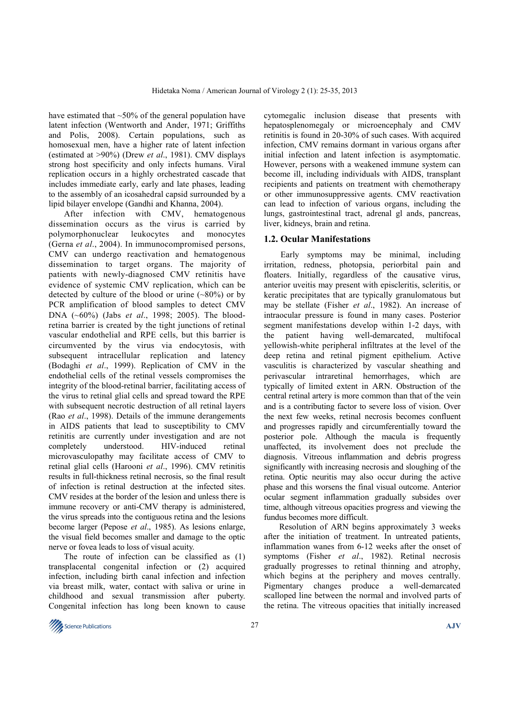have estimated that  $\sim$ 50% of the general population have latent infection (Wentworth and Ander, 1971; Griffiths and Polis, 2008). Certain populations, such as homosexual men, have a higher rate of latent infection (estimated at >90%) (Drew *et al*., 1981). CMV displays strong host specificity and only infects humans. Viral replication occurs in a highly orchestrated cascade that includes immediate early, early and late phases, leading to the assembly of an icosahedral capsid surrounded by a lipid bilayer envelope (Gandhi and Khanna, 2004).

 After infection with CMV, hematogenous dissemination occurs as the virus is carried by polymorphonuclear leukocytes and monocytes (Gerna *et al*., 2004). In immunocompromised persons, CMV can undergo reactivation and hematogenous dissemination to target organs. The majority of patients with newly-diagnosed CMV retinitis have evidence of systemic CMV replication, which can be detected by culture of the blood or urine  $(-80\%)$  or by PCR amplification of blood samples to detect CMV DNA (~60%) (Jabs *et al*., 1998; 2005). The bloodretina barrier is created by the tight junctions of retinal vascular endothelial and RPE cells, but this barrier is circumvented by the virus via endocytosis, with subsequent intracellular replication and latency (Bodaghi *et al*., 1999). Replication of CMV in the endothelial cells of the retinal vessels compromises the integrity of the blood-retinal barrier, facilitating access of the virus to retinal glial cells and spread toward the RPE with subsequent necrotic destruction of all retinal layers (Rao *et al*., 1998). Details of the immune derangements in AIDS patients that lead to susceptibility to CMV retinitis are currently under investigation and are not completely understood. HIV-induced retinal microvasculopathy may facilitate access of CMV to retinal glial cells (Harooni *et al*., 1996). CMV retinitis results in full-thickness retinal necrosis, so the final result of infection is retinal destruction at the infected sites. CMV resides at the border of the lesion and unless there is immune recovery or anti-CMV therapy is administered, the virus spreads into the contiguous retina and the lesions become larger (Pepose *et al*., 1985). As lesions enlarge, the visual field becomes smaller and damage to the optic nerve or fovea leads to loss of visual acuity.

 The route of infection can be classified as (1) transplacental congenital infection or (2) acquired infection, including birth canal infection and infection via breast milk, water, contact with saliva or urine in childhood and sexual transmission after puberty. Congenital infection has long been known to cause

cytomegalic inclusion disease that presents with hepatosplenomegaly or microencephaly and CMV retinitis is found in 20-30% of such cases. With acquired infection, CMV remains dormant in various organs after initial infection and latent infection is asymptomatic. However, persons with a weakened immune system can become ill, including individuals with AIDS, transplant recipients and patients on treatment with chemotherapy or other immunosuppressive agents. CMV reactivation can lead to infection of various organs, including the lungs, gastrointestinal tract, adrenal gl ands, pancreas, liver, kidneys, brain and retina.

#### **1.2. Ocular Manifestations**

Early symptoms may be minimal, including irritation, redness, photopsia, periorbital pain and floaters. Initially, regardless of the causative virus, anterior uveitis may present with episcleritis, scleritis, or keratic precipitates that are typically granulomatous but may be stellate (Fisher *et al*., 1982). An increase of intraocular pressure is found in many cases. Posterior segment manifestations develop within 1-2 days, with the patient having well-demarcated, multifocal yellowish-white peripheral infiltrates at the level of the deep retina and retinal pigment epithelium. Active vasculitis is characterized by vascular sheathing and perivascular intraretinal hemorrhages, which are typically of limited extent in ARN. Obstruction of the central retinal artery is more common than that of the vein and is a contributing factor to severe loss of vision. Over the next few weeks, retinal necrosis becomes confluent and progresses rapidly and circumferentially toward the posterior pole. Although the macula is frequently unaffected, its involvement does not preclude the diagnosis. Vitreous inflammation and debris progress significantly with increasing necrosis and sloughing of the retina. Optic neuritis may also occur during the active phase and this worsens the final visual outcome. Anterior ocular segment inflammation gradually subsides over time, although vitreous opacities progress and viewing the fundus becomes more difficult.

 Resolution of ARN begins approximately 3 weeks after the initiation of treatment. In untreated patients, inflammation wanes from 6-12 weeks after the onset of symptoms (Fisher *et al*., 1982). Retinal necrosis gradually progresses to retinal thinning and atrophy, which begins at the periphery and moves centrally. Pigmentary changes produce a well-demarcated scalloped line between the normal and involved parts of the retina. The vitreous opacities that initially increased

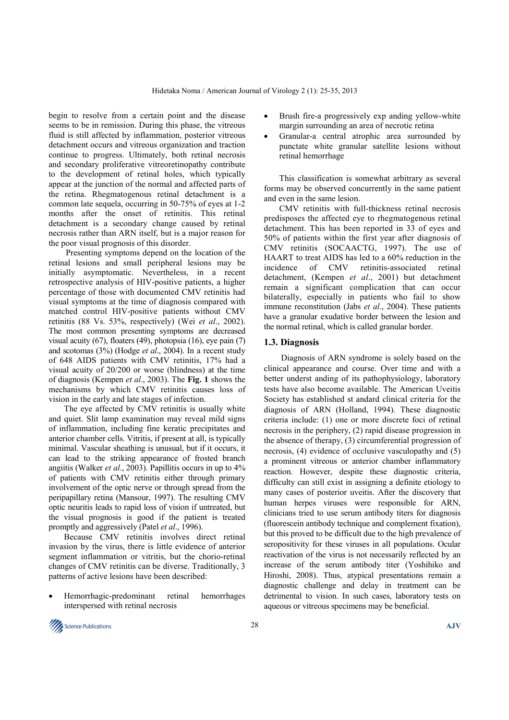begin to resolve from a certain point and the disease seems to be in remission. During this phase, the vitreous fluid is still affected by inflammation, posterior vitreous detachment occurs and vitreous organization and traction continue to progress. Ultimately, both retinal necrosis and secondary proliferative vitreoretinopathy contribute to the development of retinal holes, which typically appear at the junction of the normal and affected parts of the retina. Rhegmatogenous retinal detachment is a common late sequela, occurring in 50-75% of eyes at 1-2 months after the onset of retinitis. This retinal detachment is a secondary change caused by retinal necrosis rather than ARN itself, but is a major reason for the poor visual prognosis of this disorder.

Presenting symptoms depend on the location of the retinal lesions and small peripheral lesions may be initially asymptomatic. Nevertheless, in a recent retrospective analysis of HIV-positive patients, a higher percentage of those with documented CMV retinitis had visual symptoms at the time of diagnosis compared with matched control HIV-positive patients without CMV retinitis (88 Vs. 53%, respectively) (Wei *et al*., 2002). The most common presenting symptoms are decreased visual acuity (67), floaters (49), photopsia (16), eye pain (7) and scotomas (3%) (Hodge *et al*., 2004). In a recent study of 648 AIDS patients with CMV retinitis, 17% had a visual acuity of 20/200 or worse (blindness) at the time of diagnosis (Kempen *et al*., 2003). The **Fig. 1** shows the mechanisms by which CMV retinitis causes loss of vision in the early and late stages of infection.

 The eye affected by CMV retinitis is usually white and quiet. Slit lamp examination may reveal mild signs of inflammation, including fine keratic precipitates and anterior chamber cells. Vitritis, if present at all, is typically minimal. Vascular sheathing is unusual, but if it occurs, it can lead to the striking appearance of frosted branch angiitis (Walker *et al*., 2003). Papillitis occurs in up to 4% of patients with CMV retinitis either through primary involvement of the optic nerve or through spread from the peripapillary retina (Mansour, 1997). The resulting CMV optic neuritis leads to rapid loss of vision if untreated, but the visual prognosis is good if the patient is treated promptly and aggressively (Patel *et al*., 1996).

 Because CMV retinitis involves direct retinal invasion by the virus, there is little evidence of anterior segment inflammation or vitritis, but the chorio-retinal changes of CMV retinitis can be diverse. Traditionally, 3 patterns of active lesions have been described:

• Hemorrhagic-predominant retinal hemorrhages interspersed with retinal necrosis

- Brush fire-a progressively exp anding yellow-white margin surrounding an area of necrotic retina
- Granular-a central atrophic area surrounded by punctate white granular satellite lesions without retinal hemorrhage

 This classification is somewhat arbitrary as several forms may be observed concurrently in the same patient and even in the same lesion.

 CMV retinitis with full-thickness retinal necrosis predisposes the affected eye to rhegmatogenous retinal detachment. This has been reported in 33 of eyes and 50% of patients within the first year after diagnosis of CMV retinitis (SOCAACTG, 1997). The use of HAART to treat AIDS has led to a 60% reduction in the incidence of CMV retinitis-associated retinal detachment, (Kempen *et al*., 2001) but detachment remain a significant complication that can occur bilaterally, especially in patients who fail to show immune reconstitution (Jabs *et al*., 2004). These patients have a granular exudative border between the lesion and the normal retinal, which is called granular border.

#### **1.3. Diagnosis**

Diagnosis of ARN syndrome is solely based on the clinical appearance and course. Over time and with a better underst anding of its pathophysiology, laboratory tests have also become available. The American Uveitis Society has established st andard clinical criteria for the diagnosis of ARN (Holland, 1994). These diagnostic criteria include: (1) one or more discrete foci of retinal necrosis in the periphery, (2) rapid disease progression in the absence of therapy, (3) circumferential progression of necrosis, (4) evidence of occlusive vasculopathy and (5) a prominent vitreous or anterior chamber inflammatory reaction. However, despite these diagnostic criteria, difficulty can still exist in assigning a definite etiology to many cases of posterior uveitis. After the discovery that human herpes viruses were responsible for ARN, clinicians tried to use serum antibody titers for diagnosis (fluorescein antibody technique and complement fixation), but this proved to be difficult due to the high prevalence of seropositivity for these viruses in all populations. Ocular reactivation of the virus is not necessarily reflected by an increase of the serum antibody titer (Yoshihiko and Hiroshi, 2008). Thus, atypical presentations remain a diagnostic challenge and delay in treatment can be detrimental to vision. In such cases, laboratory tests on aqueous or vitreous specimens may be beneficial.

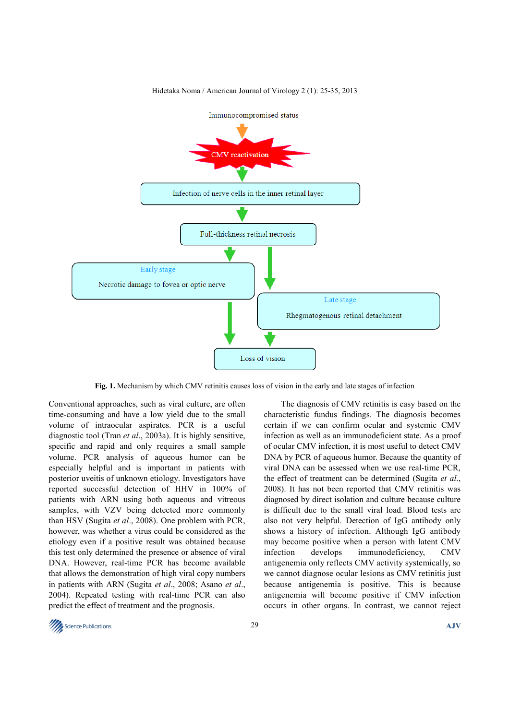

Hidetaka Noma / American Journal of Virology 2 (1): 25-35, 2013

**Fig. 1.** Mechanism by which CMV retinitis causes loss of vision in the early and late stages of infection

Conventional approaches, such as viral culture, are often time-consuming and have a low yield due to the small volume of intraocular aspirates. PCR is a useful diagnostic tool (Tran *et al*., 2003a). It is highly sensitive, specific and rapid and only requires a small sample volume. PCR analysis of aqueous humor can be especially helpful and is important in patients with posterior uveitis of unknown etiology. Investigators have reported successful detection of HHV in 100% of patients with ARN using both aqueous and vitreous samples, with VZV being detected more commonly than HSV (Sugita *et al*., 2008). One problem with PCR, however, was whether a virus could be considered as the etiology even if a positive result was obtained because this test only determined the presence or absence of viral DNA. However, real-time PCR has become available that allows the demonstration of high viral copy numbers in patients with ARN (Sugita *et al*., 2008; Asano *et al*., 2004). Repeated testing with real-time PCR can also predict the effect of treatment and the prognosis.

The diagnosis of CMV retinitis is easy based on the characteristic fundus findings. The diagnosis becomes certain if we can confirm ocular and systemic CMV infection as well as an immunodeficient state. As a proof of ocular CMV infection, it is most useful to detect CMV DNA by PCR of aqueous humor. Because the quantity of viral DNA can be assessed when we use real-time PCR, the effect of treatment can be determined (Sugita *et al*., 2008). It has not been reported that CMV retinitis was diagnosed by direct isolation and culture because culture is difficult due to the small viral load. Blood tests are also not very helpful. Detection of IgG antibody only shows a history of infection. Although IgG antibody may become positive when a person with latent CMV infection develops immunodeficiency, CMV antigenemia only reflects CMV activity systemically, so we cannot diagnose ocular lesions as CMV retinitis just because antigenemia is positive. This is because antigenemia will become positive if CMV infection occurs in other organs. In contrast, we cannot reject

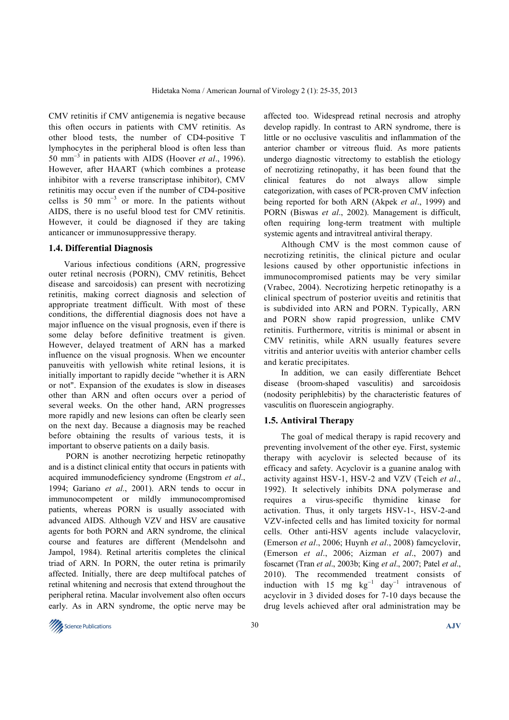CMV retinitis if CMV antigenemia is negative because this often occurs in patients with CMV retinitis. As other blood tests, the number of CD4-positive T lymphocytes in the peripheral blood is often less than 50 mm<sup>−</sup><sup>3</sup> in patients with AIDS (Hoover *et al*., 1996). However, after HAART (which combines a protease inhibitor with a reverse transcriptase inhibitor), CMV retinitis may occur even if the number of CD4-positive cellss is  $50 \text{ mm}^{-3}$  or more. In the patients without AIDS, there is no useful blood test for CMV retinitis. However, it could be diagnosed if they are taking anticancer or immunosuppressive therapy.

## **1.4. Differential Diagnosis**

 Various infectious conditions (ARN, progressive outer retinal necrosis (PORN), CMV retinitis, Behcet disease and sarcoidosis) can present with necrotizing retinitis, making correct diagnosis and selection of appropriate treatment difficult. With most of these conditions, the differential diagnosis does not have a major influence on the visual prognosis, even if there is some delay before definitive treatment is given. However, delayed treatment of ARN has a marked influence on the visual prognosis. When we encounter panuveitis with yellowish white retinal lesions, it is initially important to rapidly decide "whether it is ARN or not". Expansion of the exudates is slow in diseases other than ARN and often occurs over a period of several weeks. On the other hand, ARN progresses more rapidly and new lesions can often be clearly seen on the next day. Because a diagnosis may be reached before obtaining the results of various tests, it is important to observe patients on a daily basis.

PORN is another necrotizing herpetic retinopathy and is a distinct clinical entity that occurs in patients with acquired immunodeficiency syndrome (Engstrom *et al*., 1994; Gariano *et al*., 2001). ARN tends to occur in immunocompetent or mildly immunocompromised patients, whereas PORN is usually associated with advanced AIDS. Although VZV and HSV are causative agents for both PORN and ARN syndrome, the clinical course and features are different (Mendelsohn and Jampol, 1984). Retinal arteritis completes the clinical triad of ARN. In PORN, the outer retina is primarily affected. Initially, there are deep multifocal patches of retinal whitening and necrosis that extend throughout the peripheral retina. Macular involvement also often occurs early. As in ARN syndrome, the optic nerve may be

affected too. Widespread retinal necrosis and atrophy develop rapidly. In contrast to ARN syndrome, there is little or no occlusive vasculitis and inflammation of the anterior chamber or vitreous fluid. As more patients undergo diagnostic vitrectomy to establish the etiology of necrotizing retinopathy, it has been found that the clinical features do not always allow simple categorization, with cases of PCR-proven CMV infection being reported for both ARN (Akpek *et al*., 1999) and PORN (Biswas *et al*., 2002). Management is difficult, often requiring long-term treatment with multiple systemic agents and intravitreal antiviral therapy.

Although CMV is the most common cause of necrotizing retinitis, the clinical picture and ocular lesions caused by other opportunistic infections in immunocompromised patients may be very similar (Vrabec, 2004). Necrotizing herpetic retinopathy is a clinical spectrum of posterior uveitis and retinitis that is subdivided into ARN and PORN. Typically, ARN and PORN show rapid progression, unlike CMV retinitis. Furthermore, vitritis is minimal or absent in CMV retinitis, while ARN usually features severe vitritis and anterior uveitis with anterior chamber cells and keratic precipitates.

In addition, we can easily differentiate Behcet disease (broom-shaped vasculitis) and sarcoidosis (nodosity periphlebitis) by the characteristic features of vasculitis on fluorescein angiography.

#### **1.5. Antiviral Therapy**

The goal of medical therapy is rapid recovery and preventing involvement of the other eye. First, systemic therapy with acyclovir is selected because of its efficacy and safety. Acyclovir is a guanine analog with activity against HSV-1, HSV-2 and VZV (Teich *et al*., 1992). It selectively inhibits DNA polymerase and requires a virus-specific thymidine kinase for activation. Thus, it only targets HSV-1-, HSV-2-and VZV-infected cells and has limited toxicity for normal cells. Other anti-HSV agents include valacyclovir, (Emerson *et al*., 2006; Huynh *et al*., 2008) famcyclovir, (Emerson *et al*., 2006; Aizman *et al*., 2007) and foscarnet (Tran *et al*., 2003b; King *et al*., 2007; Patel *et al*., 2010). The recommended treatment consists of induction with 15 mg  $\text{kg}^{-1}$  day<sup>-1</sup> intravenous of acyclovir in 3 divided doses for 7-10 days because the drug levels achieved after oral administration may be

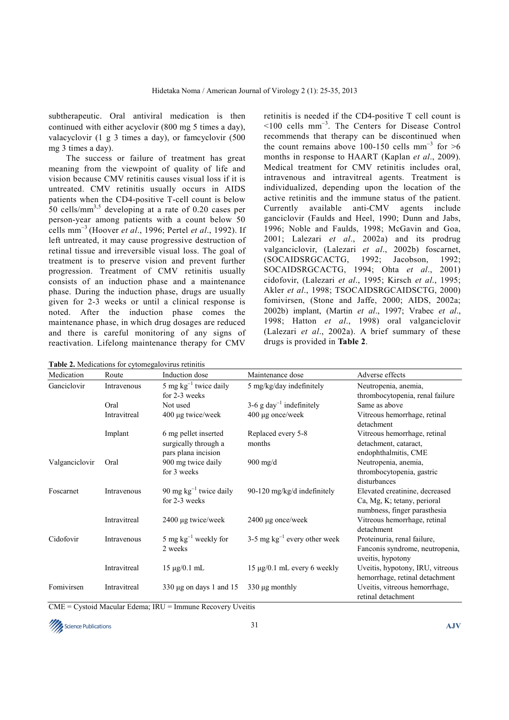subtherapeutic. Oral antiviral medication is then continued with either acyclovir (800 mg 5 times a day), valacyclovir (1 g 3 times a day), or famcyclovir (500 mg 3 times a day).

The success or failure of treatment has great meaning from the viewpoint of quality of life and vision because CMV retinitis causes visual loss if it is untreated. CMV retinitis usually occurs in AIDS patients when the CD4-positive T-cell count is below 50 cells/mm<sup>3,5</sup> developing at a rate of 0.20 cases per person-year among patients with a count below 50 cells mm<sup>−</sup><sup>3</sup>(Hoover *et al*., 1996; Pertel *et al*., 1992). If left untreated, it may cause progressive destruction of retinal tissue and irreversible visual loss. The goal of treatment is to preserve vision and prevent further progression. Treatment of CMV retinitis usually consists of an induction phase and a maintenance phase. During the induction phase, drugs are usually given for 2-3 weeks or until a clinical response is noted. After the induction phase comes the maintenance phase, in which drug dosages are reduced and there is careful monitoring of any signs of reactivation. Lifelong maintenance therapy for CMV

retinitis is needed if the CD4-positive T cell count is <100 cells mm<sup>−</sup><sup>3</sup> . The Centers for Disease Control recommends that therapy can be discontinued when the count remains above 100-150 cells mm<sup>-3</sup> for >6 months in response to HAART (Kaplan *et al*., 2009). Medical treatment for CMV retinitis includes oral, intravenous and intravitreal agents. Treatment is individualized, depending upon the location of the active retinitis and the immune status of the patient. Currently available anti-CMV agents include ganciclovir (Faulds and Heel, 1990; Dunn and Jabs, 1996; Noble and Faulds, 1998; McGavin and Goa, 2001; Lalezari *et al*., 2002a) and its prodrug valganciclovir, (Lalezari *et al*., 2002b) foscarnet, (SOCAIDSRGCACTG, 1992; Jacobson, 1992; SOCAIDSRGCACTG, 1994; Ohta *et al*., 2001) cidofovir, (Lalezari *et al*., 1995; Kirsch *et al*., 1995; Akler *et al*., 1998; TSOCAIDSRGCAIDSCTG, 2000) fomivirsen, (Stone and Jaffe, 2000; AIDS, 2002a; 2002b) implant, (Martin *et al*., 1997; Vrabec *et al*., 1998; Hatton *et al*., 1998) oral valganciclovir (Lalezari *et al*., 2002a). A brief summary of these drugs is provided in **Table 2**.

| <b>Table 2.</b> Medications for cytomegalovirus retinitis |              |                                                                     |                                      |                                                                                               |  |  |
|-----------------------------------------------------------|--------------|---------------------------------------------------------------------|--------------------------------------|-----------------------------------------------------------------------------------------------|--|--|
| Medication                                                | Route        | Induction dose                                                      | Maintenance dose                     | Adverse effects                                                                               |  |  |
| Ganciclovir                                               | Intravenous  | 5 mg $kg^{-1}$ twice daily<br>for 2-3 weeks                         | 5 mg/kg/day indefinitely             | Neutropenia, anemia,<br>thrombocytopenia, renal failure                                       |  |  |
|                                                           | Oral         | Not used                                                            | 3-6 g day <sup>-1</sup> indefinitely | Same as above                                                                                 |  |  |
|                                                           | Intravitreal | 400 µg twice/week                                                   | 400 µg once/week                     | Vitreous hemorrhage, retinal<br>detachment                                                    |  |  |
|                                                           | Implant      | 6 mg pellet inserted<br>surgically through a<br>pars plana incision | Replaced every 5-8<br>months         | Vitreous hemorrhage, retinal<br>detachment, cataract,<br>endophthalmitis, CME                 |  |  |
| Valganciclovir                                            | Oral         | 900 mg twice daily<br>for 3 weeks                                   | $900$ mg/d                           | Neutropenia, anemia,<br>thrombocytopenia, gastric<br>disturbances                             |  |  |
| Foscarnet                                                 | Intravenous  | 90 mg $kg^{-1}$ twice daily<br>for 2-3 weeks                        | 90-120 mg/kg/d indefinitely          | Elevated creatinine, decreased<br>Ca, Mg, K; tetany, perioral<br>numbness, finger parasthesia |  |  |
|                                                           | Intravitreal | 2400 µg twice/week                                                  | 2400 µg once/week                    | Vitreous hemorrhage, retinal<br>detachment                                                    |  |  |
| Cidofovir                                                 | Intravenous  | 5 mg $kg^{-1}$ weekly for<br>2 weeks                                | 3-5 mg $kg^{-1}$ every other week    | Proteinuria, renal failure,<br>Fanconis syndrome, neutropenia,<br>uveitis, hypotony           |  |  |
|                                                           | Intravitreal | $15 \mu g / 0.1 \text{ mL}$                                         | 15 μg/0.1 mL every 6 weekly          | Uveitis, hypotony, IRU, vitreous<br>hemorrhage, retinal detachment                            |  |  |
| Fomivirsen                                                | Intravitreal | 330 $\mu$ g on days 1 and 15                                        | $330 \mu g$ monthly                  | Uveitis, vitreous hemorrhage,<br>retinal detachment                                           |  |  |

CME = Cystoid Macular Edema; IRU = Immune Recovery Uveitis

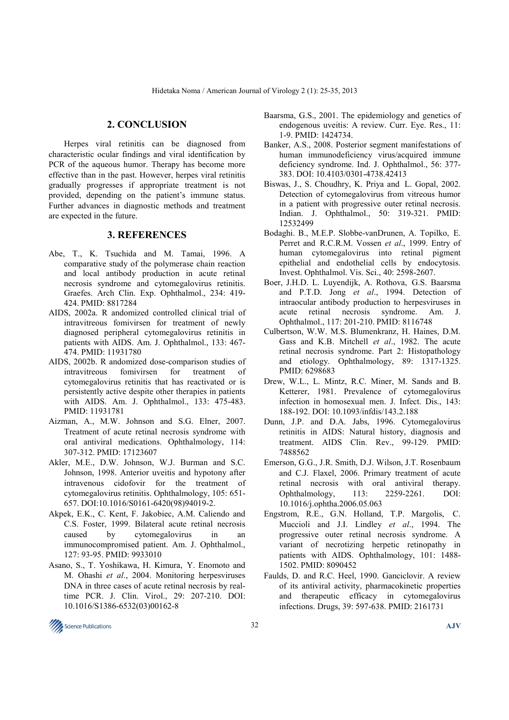#### **2. CONCLUSION**

 Herpes viral retinitis can be diagnosed from characteristic ocular findings and viral identification by PCR of the aqueous humor. Therapy has become more effective than in the past. However, herpes viral retinitis gradually progresses if appropriate treatment is not provided, depending on the patient's immune status. Further advances in diagnostic methods and treatment are expected in the future.

#### **3. REFERENCES**

- Abe, T., K. Tsuchida and M. Tamai, 1996. A comparative study of the polymerase chain reaction and local antibody production in acute retinal necrosis syndrome and cytomegalovirus retinitis. Graefes. Arch Clin. Exp. Ophthalmol., 234: 419- 424. PMID: 8817284
- AIDS, 2002a. R andomized controlled clinical trial of intravitreous fomivirsen for treatment of newly diagnosed peripheral cytomegalovirus retinitis in patients with AIDS. Am. J. Ophthalmol., 133: 467- 474. PMID: 11931780
- AIDS, 2002b. R andomized dose-comparison studies of intravitreous fomivirsen for treatment cytomegalovirus retinitis that has reactivated or is persistently active despite other therapies in patients with AIDS. Am. J. Ophthalmol., 133: 475-483. PMID: 11931781
- Aizman, A., M.W. Johnson and S.G. Elner, 2007. Treatment of acute retinal necrosis syndrome with oral antiviral medications. Ophthalmology, 114: 307-312. PMID: 17123607
- Akler, M.E., D.W. Johnson, W.J. Burman and S.C. Johnson, 1998. Anterior uveitis and hypotony after intravenous cidofovir for the treatment of cytomegalovirus retinitis. Ophthalmology, 105: 651- 657. DOI:10.1016/S0161-6420(98)94019-2.
- Akpek, E.K., C. Kent, F. Jakobiec, A.M. Caliendo and C.S. Foster, 1999. Bilateral acute retinal necrosis caused by cytomegalovirus in an immunocompromised patient. Am. J. Ophthalmol., 127: 93-95. PMID: 9933010
- Asano, S., T. Yoshikawa, H. Kimura, Y. Enomoto and M. Ohashi *et al*., 2004. Monitoring herpesviruses DNA in three cases of acute retinal necrosis by realtime PCR. J. Clin. Virol., 29: 207-210. DOI: 10.1016/S1386-6532(03)00162-8
- Baarsma, G.S., 2001. The epidemiology and genetics of endogenous uveitis: A review. Curr. Eye. Res., 11: 1-9. PMID: 1424734.
- Banker, A.S., 2008. Posterior segment manifestations of human immunodeficiency virus/acquired immune deficiency syndrome. Ind. J. Ophthalmol., 56: 377- 383. DOI: 10.4103/0301-4738.42413
- Biswas, J., S. Choudhry, K. Priya and L. Gopal, 2002. Detection of cytomegalovirus from vitreous humor in a patient with progressive outer retinal necrosis. Indian. J. Ophthalmol., 50: 319-321. PMID: 12532499
- Bodaghi. B., M.E.P. Slobbe-vanDrunen, A. Topilko, E. Perret and R.C.R.M. Vossen *et al*., 1999. Entry of human cytomegalovirus into retinal pigment epithelial and endothelial cells by endocytosis. Invest. Ophthalmol. Vis. Sci., 40: 2598-2607.
- Boer, J.H.D. L. Luyendijk, A. Rothova, G.S. Baarsma and P.T.D. Jong *et al*., 1994. Detection of intraocular antibody production to herpesviruses in acute retinal necrosis syndrome. Am. J. Ophthalmol., 117: 201-210. PMID: 8116748
- Culbertson, W.W. M.S. Blumenkranz, H. Haines, D.M. Gass and K.B. Mitchell *et al*., 1982. The acute retinal necrosis syndrome. Part 2: Histopathology and etiology. Ophthalmology, 89: 1317-1325. PMID: 6298683
- Drew, W.L., L. Mintz, R.C. Miner, M. Sands and B. Ketterer, 1981. Prevalence of cytomegalovirus infection in homosexual men. J. Infect. Dis., 143: 188-192. DOI: 10.1093/infdis/143.2.188
- Dunn, J.P. and D.A. Jabs, 1996. Cytomegalovirus retinitis in AIDS: Natural history, diagnosis and treatment. AIDS Clin. Rev., 99-129. PMID: 7488562
- Emerson, G.G., J.R. Smith, D.J. Wilson, J.T. Rosenbaum and C.J. Flaxel, 2006. Primary treatment of acute retinal necrosis with oral antiviral therapy. Ophthalmology, 113: 2259-2261. DOI: 10.1016/j.ophtha.2006.05.063
- Engstrom, R.E., G.N. Holland, T.P. Margolis, C. Muccioli and J.I. Lindley *et al*., 1994. The progressive outer retinal necrosis syndrome. A variant of necrotizing herpetic retinopathy in patients with AIDS. Ophthalmology, 101: 1488- 1502. PMID: 8090452
- Faulds, D. and R.C. Heel, 1990. Ganciclovir. A review of its antiviral activity, pharmacokinetic properties and therapeutic efficacy in cytomegalovirus infections. Drugs, 39: 597-638. PMID: 2161731

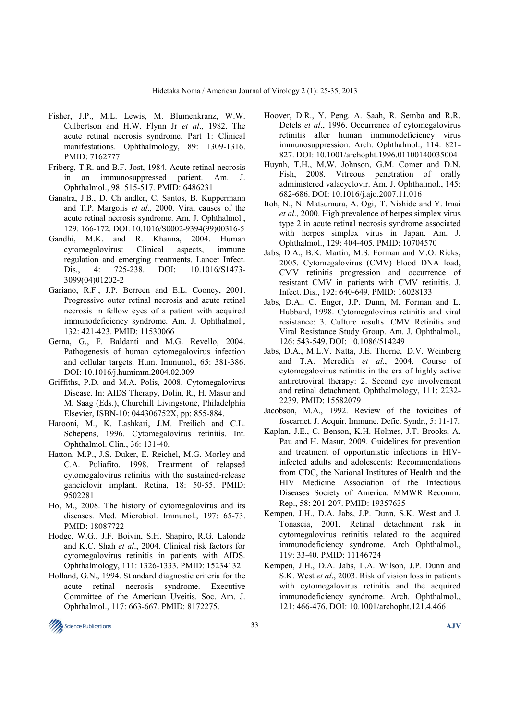- Fisher, J.P., M.L. Lewis, M. Blumenkranz, W.W. Culbertson and H.W. Flynn Jr *et al*., 1982. The acute retinal necrosis syndrome. Part 1: Clinical manifestations. Ophthalmology, 89: 1309-1316. PMID: 7162777
- Friberg, T.R. and B.F. Jost, 1984. Acute retinal necrosis in an immunosuppressed patient. Am. J. Ophthalmol., 98: 515-517. PMID: 6486231
- Ganatra, J.B., D. Ch andler, C. Santos, B. Kuppermann and T.P. Margolis *et al*., 2000. Viral causes of the acute retinal necrosis syndrome. Am. J. Ophthalmol., 129: 166-172. DOI: 10.1016/S0002-9394(99)00316-5
- Gandhi, M.K. and R. Khanna, 2004. Human cytomegalovirus: Clinical aspects, immune regulation and emerging treatments. Lancet Infect. Dis., 4: 725-238. DOI: 10.1016/S1473-3099(04)01202-2
- Gariano, R.F., J.P. Berreen and E.L. Cooney, 2001. Progressive outer retinal necrosis and acute retinal necrosis in fellow eyes of a patient with acquired immunodeficiency syndrome. Am. J. Ophthalmol., 132: 421-423. PMID: 11530066
- Gerna, G., F. Baldanti and M.G. Revello, 2004. Pathogenesis of human cytomegalovirus infection and cellular targets. Hum. Immunol., 65: 381-386. DOI: 10.1016/j.humimm.2004.02.009
- Griffiths, P.D. and M.A. Polis, 2008. Cytomegalovirus Disease. In: AIDS Therapy, Dolin, R., H. Masur and M. Saag (Eds.), Churchill Livingstone, Philadelphia Elsevier, ISBN-10: 044306752X, pp: 855-884.
- Harooni, M., K. Lashkari, J.M. Freilich and C.L. Schepens, 1996. Cytomegalovirus retinitis. Int. Ophthalmol. Clin., 36: 131-40.
- Hatton, M.P., J.S. Duker, E. Reichel, M.G. Morley and C.A. Puliafito, 1998. Treatment of relapsed cytomegalovirus retinitis with the sustained-release ganciclovir implant. Retina, 18: 50-55. PMID: 9502281
- Ho, M., 2008. The history of cytomegalovirus and its diseases. Med. Microbiol. Immunol., 197: 65-73. PMID: 18087722
- Hodge, W.G., J.F. Boivin, S.H. Shapiro, R.G. Lalonde and K.C. Shah *et al*., 2004. Clinical risk factors for cytomegalovirus retinitis in patients with AIDS. Ophthalmology, 111: 1326-1333. PMID: 15234132
- Holland, G.N., 1994. St andard diagnostic criteria for the acute retinal necrosis syndrome. Executive Committee of the American Uveitis. Soc. Am. J. Ophthalmol., 117: 663-667. PMID: 8172275.
- Hoover, D.R., Y. Peng. A. Saah, R. Semba and R.R. Detels *et al*., 1996. Occurrence of cytomegalovirus retinitis after human immunodeficiency virus immunosuppression. Arch. Ophthalmol., 114: 821- 827. DOI: 10.1001/archopht.1996.01100140035004
- Huynh, T.H., M.W. Johnson, G.M. Comer and D.N. Fish, 2008. Vitreous penetration of orally administered valacyclovir. Am. J. Ophthalmol., 145: 682-686. DOI: 10.1016/j.ajo.2007.11.016
- Itoh, N., N. Matsumura, A. Ogi, T. Nishide and Y. Imai *et al*., 2000. High prevalence of herpes simplex virus type 2 in acute retinal necrosis syndrome associated with herpes simplex virus in Japan. Am. J. Ophthalmol., 129: 404-405. PMID: 10704570
- Jabs, D.A., B.K. Martin, M.S. Forman and M.O. Ricks, 2005. Cytomegalovirus (CMV) blood DNA load, CMV retinitis progression and occurrence of resistant CMV in patients with CMV retinitis. J. Infect. Dis., 192: 640-649. PMID: 16028133
- Jabs, D.A., C. Enger, J.P. Dunn, M. Forman and L. Hubbard, 1998. Cytomegalovirus retinitis and viral resistance: 3. Culture results. CMV Retinitis and Viral Resistance Study Group. Am. J. Ophthalmol., 126: 543-549. DOI: 10.1086/514249
- Jabs, D.A., M.L.V. Natta, J.E. Thorne, D.V. Weinberg and T.A. Meredith *et al*., 2004. Course of cytomegalovirus retinitis in the era of highly active antiretroviral therapy: 2. Second eye involvement and retinal detachment. Ophthalmology, 111: 2232- 2239. PMID: 15582079
- Jacobson, M.A., 1992. Review of the toxicities of foscarnet. J. Acquir. Immune. Defic. Syndr., 5: 11-17.
- Kaplan, J.E., C. Benson, K.H. Holmes, J.T. Brooks, A. Pau and H. Masur, 2009. Guidelines for prevention and treatment of opportunistic infections in HIVinfected adults and adolescents: Recommendations from CDC, the National Institutes of Health and the HIV Medicine Association of the Infectious Diseases Society of America. MMWR Recomm. Rep., 58: 201-207. PMID: 19357635
- Kempen, J.H., D.A. Jabs, J.P. Dunn, S.K. West and J. Tonascia, 2001. Retinal detachment risk in cytomegalovirus retinitis related to the acquired immunodeficiency syndrome. Arch Ophthalmol., 119: 33-40. PMID: 11146724
- Kempen, J.H., D.A. Jabs, L.A. Wilson, J.P. Dunn and S.K. West *et al*., 2003. Risk of vision loss in patients with cytomegalovirus retinitis and the acquired immunodeficiency syndrome. Arch. Ophthalmol., 121: 466-476. DOI: 10.1001/archopht.121.4.466

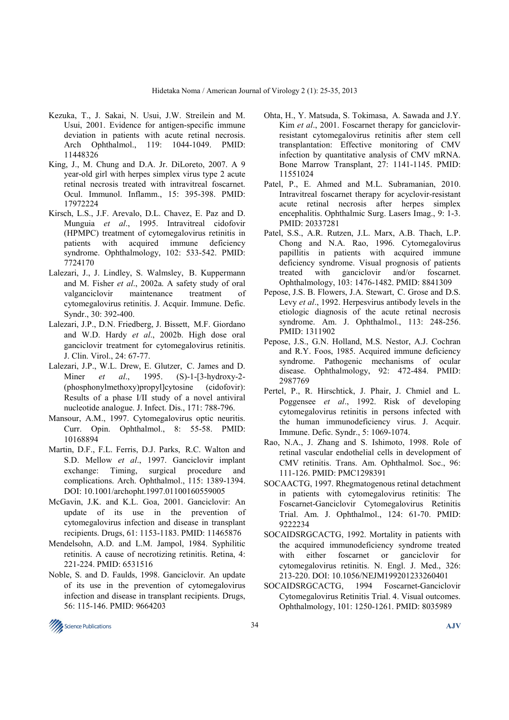- Kezuka, T., J. Sakai, N. Usui, J.W. Streilein and M. Usui, 2001. Evidence for antigen-specific immune deviation in patients with acute retinal necrosis. Arch Ophthalmol., 119: 1044-1049. PMID: 11448326
- King, J., M. Chung and D.A. Jr. DiLoreto, 2007. A 9 year-old girl with herpes simplex virus type 2 acute retinal necrosis treated with intravitreal foscarnet. Ocul. Immunol. Inflamm., 15: 395-398. PMID: 17972224
- Kirsch, L.S., J.F. Arevalo, D.L. Chavez, E. Paz and D. Munguia *et al*., 1995. Intravitreal cidofovir (HPMPC) treatment of cytomegalovirus retinitis in patients with acquired immune deficiency syndrome. Ophthalmology, 102: 533-542. PMID: 7724170
- Lalezari, J., J. Lindley, S. Walmsley, B. Kuppermann and M. Fisher *et al*., 2002a. A safety study of oral valganciclovir maintenance treatment of cytomegalovirus retinitis. J. Acquir. Immune. Defic. Syndr., 30: 392-400.
- Lalezari, J.P., D.N. Friedberg, J. Bissett, M.F. Giordano and W.D. Hardy *et al*., 2002b. High dose oral ganciclovir treatment for cytomegalovirus retinitis. J. Clin. Virol., 24: 67-77.
- Lalezari, J.P., W.L. Drew, E. Glutzer, C. James and D. Miner *et al*., 1995. (S)-1-[3-hydroxy-2- (phosphonylmethoxy)propyl]cytosine (cidofovir): Results of a phase I/II study of a novel antiviral nucleotide analogue. J. Infect. Dis., 171: 788-796.
- Mansour, A.M., 1997. Cytomegalovirus optic neuritis. Curr. Opin. Ophthalmol., 8: 55-58. PMID: 10168894
- Martin, D.F., F.L. Ferris, D.J. Parks, R.C. Walton and S.D. Mellow *et al*., 1997. Ganciclovir implant exchange: Timing, surgical procedure and complications. Arch. Ophthalmol., 115: 1389-1394. DOI: 10.1001/archopht.1997.01100160559005
- McGavin, J.K. and K.L. Goa, 2001. Ganciclovir: An update of its use in the prevention of cytomegalovirus infection and disease in transplant recipients. Drugs, 61: 1153-1183. PMID: 11465876
- Mendelsohn, A.D. and L.M. Jampol, 1984. Syphilitic retinitis. A cause of necrotizing retinitis. Retina, 4: 221-224. PMID: 6531516
- Noble, S. and D. Faulds, 1998. Ganciclovir. An update of its use in the prevention of cytomegalovirus infection and disease in transplant recipients. Drugs, 56: 115-146. PMID: 9664203
- Ohta, H., Y. Matsuda, S. Tokimasa, A. Sawada and J.Y. Kim *et al*., 2001. Foscarnet therapy for ganciclovirresistant cytomegalovirus retinitis after stem cell transplantation: Effective monitoring of CMV infection by quantitative analysis of CMV mRNA. Bone Marrow Transplant, 27: 1141-1145. PMID: 11551024
- Patel, P., E. Ahmed and M.L. Subramanian, 2010. Intravitreal foscarnet therapy for acyclovir-resistant acute retinal necrosis after herpes simplex encephalitis. Ophthalmic Surg. Lasers Imag., 9: 1-3. PMID: 20337281
- Patel, S.S., A.R. Rutzen, J.L. Marx, A.B. Thach, L.P. Chong and N.A. Rao, 1996. Cytomegalovirus papillitis in patients with acquired immune deficiency syndrome. Visual prognosis of patients treated with ganciclovir and/or foscarnet. Ophthalmology, 103: 1476-1482. PMID: 8841309
- Pepose, J.S. B. Flowers, J.A. Stewart, C. Grose and D.S. Levy *et al*., 1992. Herpesvirus antibody levels in the etiologic diagnosis of the acute retinal necrosis syndrome. Am. J. Ophthalmol., 113: 248-256. PMID: 1311902
- Pepose, J.S., G.N. Holland, M.S. Nestor, A.J. Cochran and R.Y. Foos, 1985. Acquired immune deficiency syndrome. Pathogenic mechanisms of ocular disease. Ophthalmology, 92: 472-484. PMID: 2987769
- Pertel, P., R. Hirschtick, J. Phair, J. Chmiel and L. Poggensee *et al*., 1992. Risk of developing cytomegalovirus retinitis in persons infected with the human immunodeficiency virus. J. Acquir. Immune. Defic. Syndr., 5: 1069-1074.
- Rao, N.A., J. Zhang and S. Ishimoto, 1998. Role of retinal vascular endothelial cells in development of CMV retinitis. Trans. Am. Ophthalmol. Soc., 96: 111-126. PMID: PMC1298391
- SOCAACTG, 1997. Rhegmatogenous retinal detachment in patients with cytomegalovirus retinitis: The Foscarnet-Ganciclovir Cytomegalovirus Retinitis Trial. Am. J. Ophthalmol., 124: 61-70. PMID: 9222234
- SOCAIDSRGCACTG, 1992. Mortality in patients with the acquired immunodeficiency syndrome treated with either foscarnet or ganciclovir for cytomegalovirus retinitis. N. Engl. J. Med., 326: 213-220. DOI: 10.1056/NEJM199201233260401
- SOCAIDSRGCACTG, 1994 Foscarnet-Ganciclovir Cytomegalovirus Retinitis Trial. 4. Visual outcomes. Ophthalmology, 101: 1250-1261. PMID: 8035989